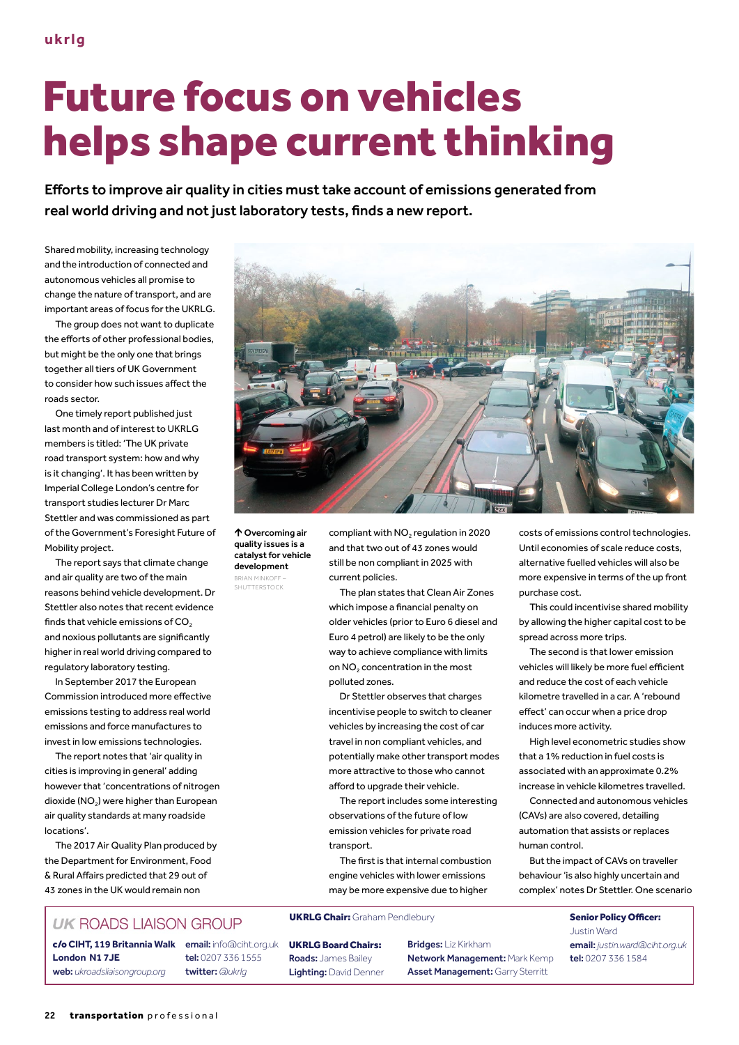# Future focus on vehicles helps shape current thinking

Efforts to improve air quality in cities must take account of emissions generated from real world driving and not just laboratory tests, finds a new report.

Shared mobility, increasing technology and the introduction of connected and autonomous vehicles all promise to change the nature of transport, and are important areas of focus for the UKRLG.

The group does not want to duplicate the efforts of other professional bodies, but might be the only one that brings together all tiers of UK Government to consider how such issues affect the roads sector.

One timely report published just last month and of interest to UKRLG members is titled: 'The UK private road transport system: how and why is it changing'. It has been written by Imperial College London's centre for transport studies lecturer Dr Marc Stettler and was commissioned as part of the Government's Foresight Future of Mobility project.

The report says that climate change and air quality are two of the main reasons behind vehicle development. Dr Stettler also notes that recent evidence finds that vehicle emissions of  $CO<sub>2</sub>$ and noxious pollutants are significantly higher in real world driving compared to regulatory laboratory testing.

In September 2017 the European Commission introduced more effective emissions testing to address real world emissions and force manufactures to invest in low emissions technologies.

The report notes that 'air quality in cities is improving in general' adding however that 'concentrations of nitrogen dioxide (NO<sub>2</sub>) were higher than European air quality standards at many roadside locations'.

The 2017 Air Quality Plan produced by the Department for Environment, Food & Rural Affairs predicted that 29 out of 43 zones in the UK would remain non

### **UK ROADS LIAISON GROUP**

c/o **CIHT, 119 Britannia Walk** email: info@ciht.org.uk **London N1 7JE** web: *ukroadsliaisongroup.org*

tel: 0207 336 1555 twitter: *@ukrlg*



 Overcoming air quality issues is a catalyst for vehicle development BRIAN MINKOFF –

SHUTTERSTOCK

compliant with NO<sub>2</sub> regulation in 2020 and that two out of 43 zones would still be non compliant in 2025 with current policies.

The plan states that Clean Air Zones which impose a financial penalty on older vehicles (prior to Euro 6 diesel and Euro 4 petrol) are likely to be the only way to achieve compliance with limits on NO<sub>2</sub> concentration in the most polluted zones.

Dr Stettler observes that charges incentivise people to switch to cleaner vehicles by increasing the cost of car travel in non compliant vehicles, and potentially make other transport modes more attractive to those who cannot afford to upgrade their vehicle.

The report includes some interesting observations of the future of low emission vehicles for private road transport.

The first is that internal combustion engine vehicles with lower emissions may be more expensive due to higher

UKRLG Chair: Graham Pendlebury **Senior Policy Officer:** 

UKRLG Board Chairs: Roads: James Bailey Lighting: David Denner Bridges: Liz Kirkham Network Management: Mark Kemp Asset Management: Garry Sterritt

costs of emissions control technologies. Until economies of scale reduce costs, alternative fuelled vehicles will also be more expensive in terms of the up front purchase cost.

This could incentivise shared mobility by allowing the higher capital cost to be spread across more trips.

The second is that lower emission vehicles will likely be more fuel efficient and reduce the cost of each vehicle kilometre travelled in a car. A 'rebound effect' can occur when a price drop induces more activity.

High level econometric studies show that a 1% reduction in fuel costs is associated with an approximate 0.2% increase in vehicle kilometres travelled.

Connected and autonomous vehicles (CAVs) are also covered, detailing automation that assists or replaces human control.

But the impact of CAVs on traveller behaviour 'is also highly uncertain and complex' notes Dr Stettler. One scenario

> Justin Ward email: *justin.ward@ciht.org.uk* tel: 0207 336 1584